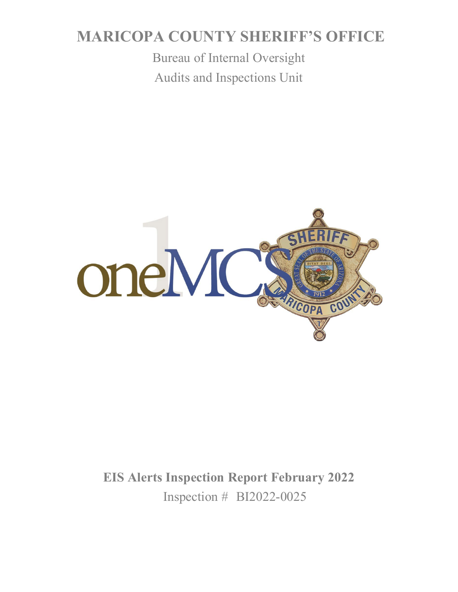# **MARICOPA COUNTY SHERIFF'S OFFICE**

Bureau of Internal Oversight Audits and Inspections Unit



**EIS Alerts Inspection Report February 2022** Inspection # BI2022-0025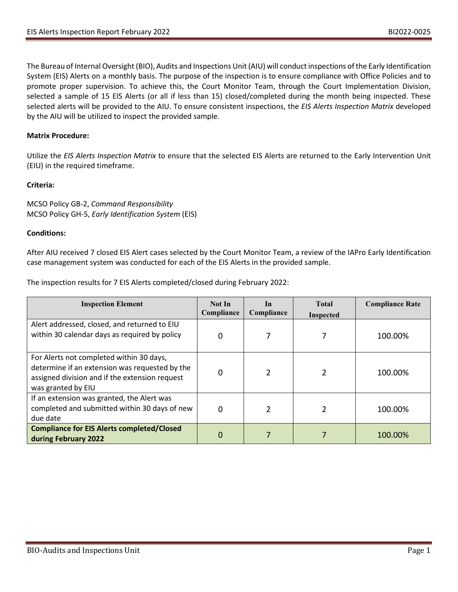The Bureau of Internal Oversight (BIO), Audits and Inspections Unit (AIU) will conduct inspections of the Early Identification System (EIS) Alerts on a monthly basis. The purpose of the inspection is to ensure compliance with Office Policies and to promote proper supervision. To achieve this, the Court Monitor Team, through the Court Implementation Division, selected a sample of 15 EIS Alerts (or all if less than 15) closed/completed during the month being inspected. These selected alerts will be provided to the AIU. To ensure consistent inspections, the *EIS Alerts Inspection Matrix* developed by the AIU will be utilized to inspect the provided sample.

## **Matrix Procedure:**

Utilize the *EIS Alerts Inspection Matrix* to ensure that the selected EIS Alerts are returned to the Early Intervention Unit (EIU) in the required timeframe.

### **Criteria:**

MCSO Policy GB-2, *Command Responsibility* MCSO Policy GH-5, *Early Identification System* (EIS)

#### **Conditions:**

After AIU received 7 closed EIS Alert cases selected by the Court Monitor Team, a review of the IAPro Early Identification case management system was conducted for each of the EIS Alerts in the provided sample.

The inspection results for 7 EIS Alerts completed/closed during February 2022:

| <b>Inspection Element</b>                                                                                                                                          | Not In<br>Compliance | In<br>Compliance | <b>Total</b><br><b>Inspected</b> | <b>Compliance Rate</b> |
|--------------------------------------------------------------------------------------------------------------------------------------------------------------------|----------------------|------------------|----------------------------------|------------------------|
| Alert addressed, closed, and returned to EIU<br>within 30 calendar days as required by policy                                                                      | 0                    |                  |                                  | 100.00%                |
| For Alerts not completed within 30 days,<br>determine if an extension was requested by the<br>assigned division and if the extension request<br>was granted by EIU | 0                    | $\mathcal{P}$    |                                  | 100.00%                |
| If an extension was granted, the Alert was<br>completed and submitted within 30 days of new<br>due date                                                            | 0                    | $\overline{2}$   |                                  | 100.00%                |
| <b>Compliance for EIS Alerts completed/Closed</b><br>during February 2022                                                                                          | 0                    |                  |                                  | 100.00%                |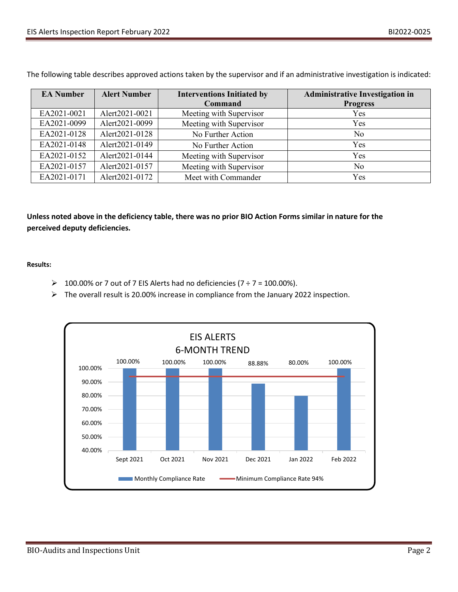| <b>EA Number</b> | <b>Alert Number</b> | <b>Interventions Initiated by</b> | <b>Administrative Investigation in</b> |
|------------------|---------------------|-----------------------------------|----------------------------------------|
|                  |                     | Command                           | <b>Progress</b>                        |
| EA2021-0021      | Alert2021-0021      | Meeting with Supervisor           | Yes                                    |
| EA2021-0099      | Alert2021-0099      | Meeting with Supervisor           | Yes                                    |
| EA2021-0128      | Alert2021-0128      | No Further Action                 | N <sub>0</sub>                         |
| EA2021-0148      | Alert2021-0149      | No Further Action                 | Yes                                    |
| EA2021-0152      | Alert2021-0144      | Meeting with Supervisor           | Yes                                    |
| EA2021-0157      | Alert2021-0157      | Meeting with Supervisor           | No                                     |
| EA2021-0171      | Alert2021-0172      | Meet with Commander               | Yes                                    |

The following table describes approved actions taken by the supervisor and if an administrative investigation is indicated:

**Unless noted above in the deficiency table, there was no prior BIO Action Forms similar in nature for the perceived deputy deficiencies.**

**Results:**

- $\geq 100.00\%$  or 7 out of 7 EIS Alerts had no deficiencies (7 ÷ 7 = 100.00%).
- $\triangleright$  The overall result is 20.00% increase in compliance from the January 2022 inspection.